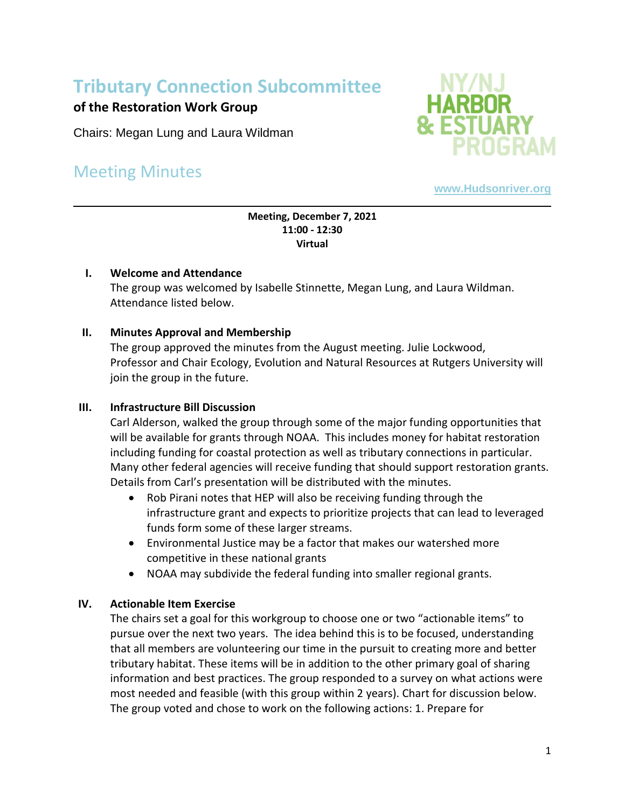# **Tributary Connection Subcommittee**

## **of the Restoration Work Group**

Chairs: Megan Lung and Laura Wildman

## Meeting Minutes



**[www.Hudsonriver.org](http://www.hudsonriver.org/)**

#### **Meeting, December 7, 2021 11:00 - 12:30 Virtual**

## **I. Welcome and Attendance**

The group was welcomed by Isabelle Stinnette, Megan Lung, and Laura Wildman. Attendance listed below.

## **II. Minutes Approval and Membership**

The group approved the minutes from the August meeting. Julie Lockwood, Professor and Chair Ecology, Evolution and Natural Resources at Rutgers University will join the group in the future.

## **III. Infrastructure Bill Discussion**

Carl Alderson, walked the group through some of the major funding opportunities that will be available for grants through NOAA. This includes money for habitat restoration including funding for coastal protection as well as tributary connections in particular. Many other federal agencies will receive funding that should support restoration grants. Details from Carl's presentation will be distributed with the minutes.

- Rob Pirani notes that HEP will also be receiving funding through the infrastructure grant and expects to prioritize projects that can lead to leveraged funds form some of these larger streams.
- Environmental Justice may be a factor that makes our watershed more competitive in these national grants
- NOAA may subdivide the federal funding into smaller regional grants.

## **IV. Actionable Item Exercise**

The chairs set a goal for this workgroup to choose one or two "actionable items" to pursue over the next two years. The idea behind this is to be focused, understanding that all members are volunteering our time in the pursuit to creating more and better tributary habitat. These items will be in addition to the other primary goal of sharing information and best practices. The group responded to a survey on what actions were most needed and feasible (with this group within 2 years). Chart for discussion below. The group voted and chose to work on the following actions: 1. Prepare for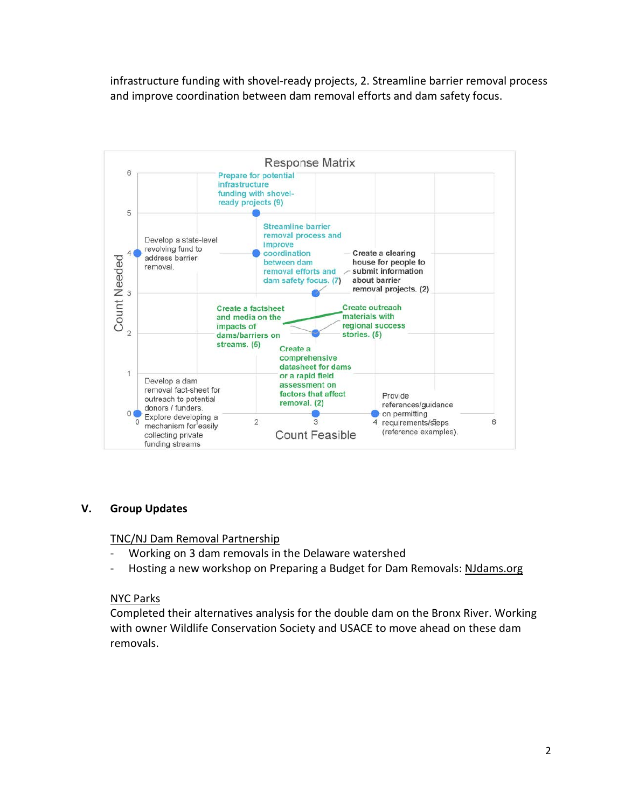infrastructure funding with shovel-ready projects, 2. Streamline barrier removal process and improve coordination between dam removal efforts and dam safety focus.



## **V. Group Updates**

#### TNC/NJ Dam Removal Partnership

- Working on 3 dam removals in the Delaware watershed
- Hosting a new workshop on Preparing a Budget for Dam Removals: NJdams.org

#### NYC Parks

Completed their alternatives analysis for the double dam on the Bronx River. Working with owner Wildlife Conservation Society and USACE to move ahead on these dam removals.